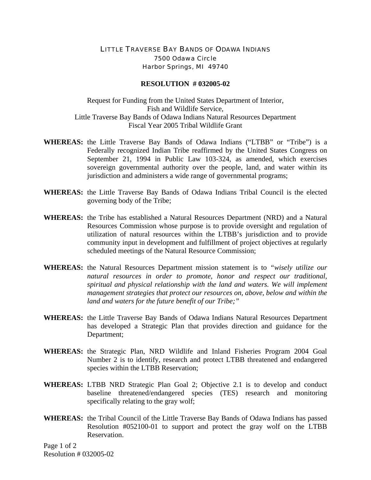## LITTLE TRAVERSE BAY BANDS OF ODAWA INDIANS 7500 Odawa Circle Harbor Springs, MI 49740

## **RESOLUTION # 032005-02**

Request for Funding from the United States Department of Interior, Fish and Wildlife Service, Little Traverse Bay Bands of Odawa Indians Natural Resources Department Fiscal Year 2005 Tribal Wildlife Grant

- **WHEREAS:** the Little Traverse Bay Bands of Odawa Indians ("LTBB" or "Tribe") is a Federally recognized Indian Tribe reaffirmed by the United States Congress on September 21, 1994 in Public Law 103-324, as amended, which exercises sovereign governmental authority over the people, land, and water within its jurisdiction and administers a wide range of governmental programs;
- **WHEREAS:** the Little Traverse Bay Bands of Odawa Indians Tribal Council is the elected governing body of the Tribe;
- **WHEREAS:** the Tribe has established a Natural Resources Department (NRD) and a Natural Resources Commission whose purpose is to provide oversight and regulation of utilization of natural resources within the LTBB's jurisdiction and to provide community input in development and fulfillment of project objectives at regularly scheduled meetings of the Natural Resource Commission;
- **WHEREAS:** the Natural Resources Department mission statement is to *"wisely utilize our natural resources in order to promote, honor and respect our traditional, spiritual and physical relationship with the land and waters. We will implement management strategies that protect our resources on, above, below and within the land and waters for the future benefit of our Tribe;"*
- **WHEREAS:** the Little Traverse Bay Bands of Odawa Indians Natural Resources Department has developed a Strategic Plan that provides direction and guidance for the Department;
- **WHEREAS:** the Strategic Plan, NRD Wildlife and Inland Fisheries Program 2004 Goal Number 2 is to identify, research and protect LTBB threatened and endangered species within the LTBB Reservation;
- **WHEREAS:** LTBB NRD Strategic Plan Goal 2; Objective 2.1 is to develop and conduct baseline threatened/endangered species (TES) research and monitoring specifically relating to the gray wolf;
- **WHEREAS:** the Tribal Council of the Little Traverse Bay Bands of Odawa Indians has passed Resolution #052100-01 to support and protect the gray wolf on the LTBB Reservation.

Page 1 of 2 Resolution # 032005-02